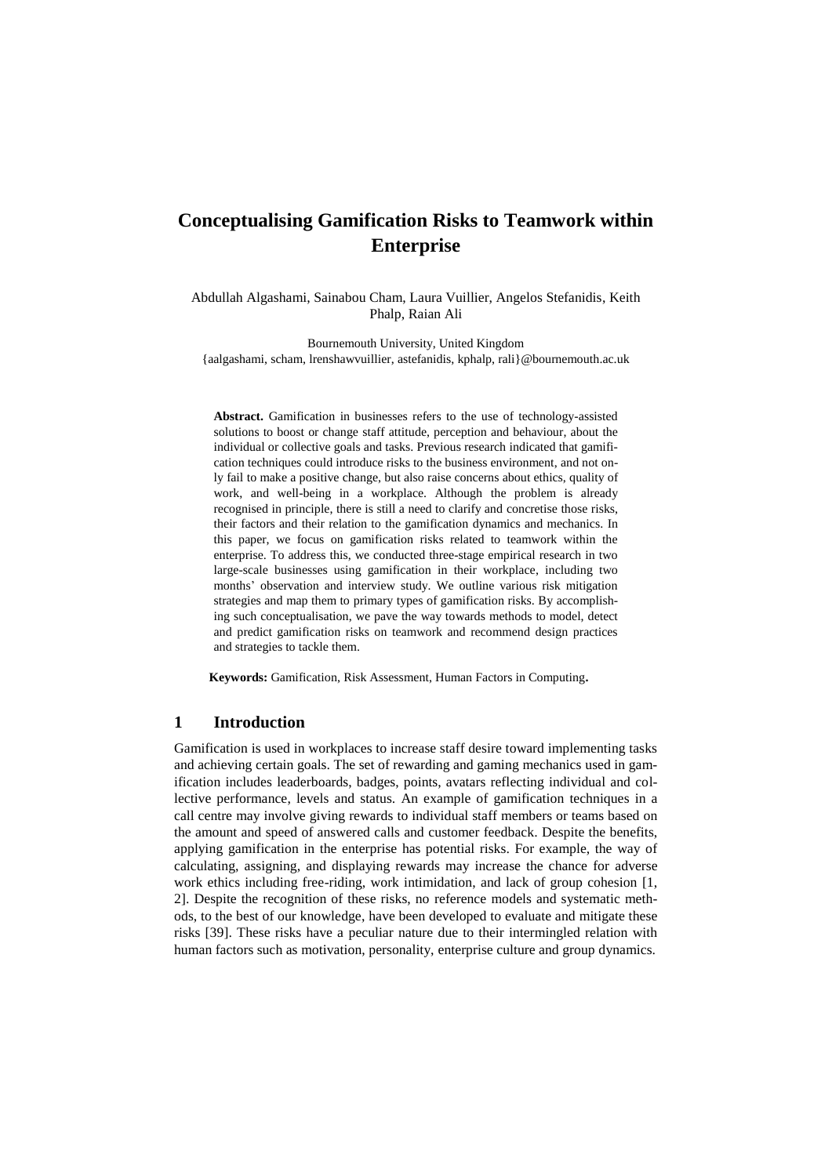# **Conceptualising Gamification Risks to Teamwork within Enterprise**

Abdullah Algashami, Sainabou Cham, Laura Vuillier, Angelos Stefanidis, Keith Phalp, Raian Ali

Bournemouth University, United Kingdom {aalgashami, scham, lrenshawvuillier[, astefanidis,](mailto:astefanidis@bournemouth.ac.uk) kphalp[, rali}@bournemouth.ac.uk](mailto:rali%7d@bournemouth.ac.uk) 

**Abstract.** Gamification in businesses refers to the use of technology-assisted solutions to boost or change staff attitude, perception and behaviour, about the individual or collective goals and tasks. Previous research indicated that gamification techniques could introduce risks to the business environment, and not only fail to make a positive change, but also raise concerns about ethics, quality of work, and well-being in a workplace. Although the problem is already recognised in principle, there is still a need to clarify and concretise those risks, their factors and their relation to the gamification dynamics and mechanics. In this paper, we focus on gamification risks related to teamwork within the enterprise. To address this, we conducted three-stage empirical research in two large-scale businesses using gamification in their workplace, including two months' observation and interview study. We outline various risk mitigation strategies and map them to primary types of gamification risks. By accomplishing such conceptualisation, we pave the way towards methods to model, detect and predict gamification risks on teamwork and recommend design practices and strategies to tackle them.

**Keywords:** Gamification, Risk Assessment, Human Factors in Computing**.**

#### **1 Introduction**

Gamification is used in workplaces to increase staff desire toward implementing tasks and achieving certain goals. The set of rewarding and gaming mechanics used in gamification includes leaderboards, badges, points, avatars reflecting individual and collective performance, levels and status. An example of gamification techniques in a call centre may involve giving rewards to individual staff members or teams based on the amount and speed of answered calls and customer feedback. Despite the benefits, applying gamification in the enterprise has potential risks. For example, the way of calculating, assigning, and displaying rewards may increase the chance for adverse work ethics including free-riding, work intimidation, and lack of group cohesion [1, 2]. Despite the recognition of these risks, no reference models and systematic methods, to the best of our knowledge, have been developed to evaluate and mitigate these risks [39]. These risks have a peculiar nature due to their intermingled relation with human factors such as motivation, personality, enterprise culture and group dynamics.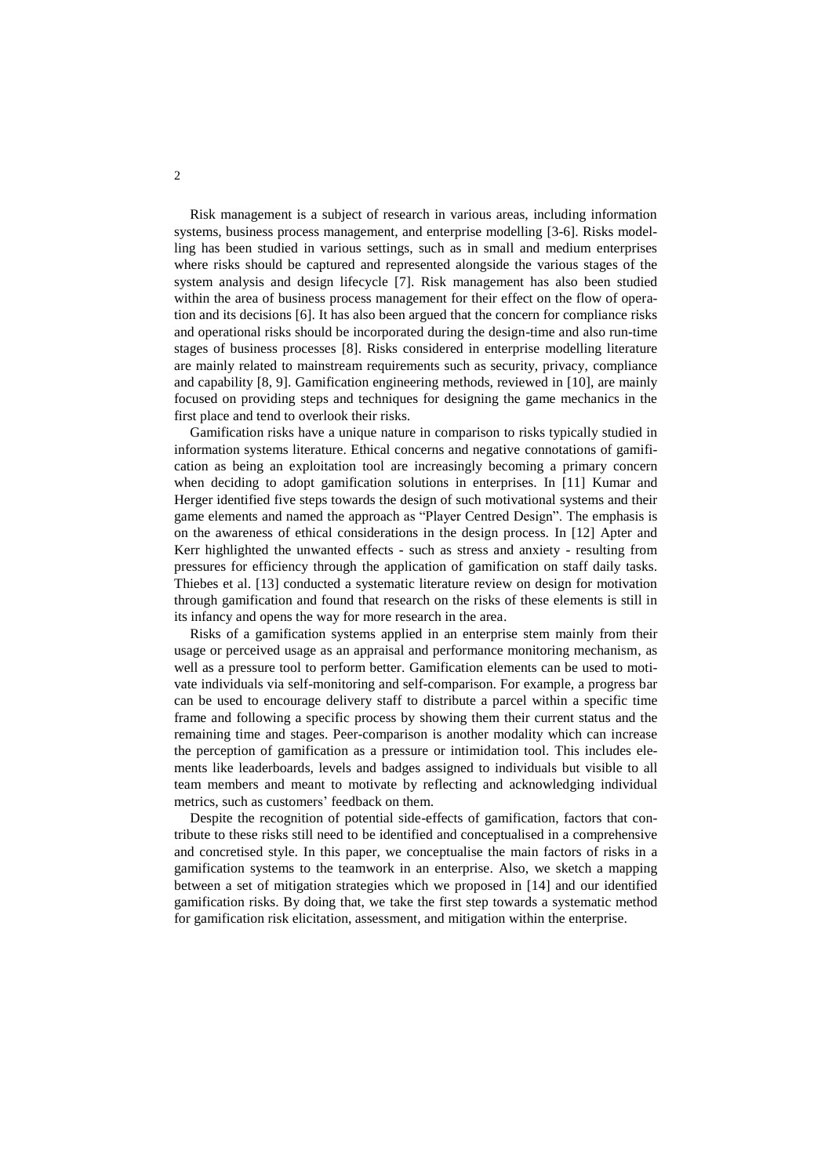Risk management is a subject of research in various areas, including information systems, business process management, and enterprise modelling [3-6]. Risks modelling has been studied in various settings, such as in small and medium enterprises where risks should be captured and represented alongside the various stages of the system analysis and design lifecycle [7]. Risk management has also been studied within the area of business process management for their effect on the flow of operation and its decisions [6]. It has also been argued that the concern for compliance risks and operational risks should be incorporated during the design-time and also run-time stages of business processes [8]. Risks considered in enterprise modelling literature are mainly related to mainstream requirements such as security, privacy, compliance and capability [8, 9]. Gamification engineering methods, reviewed in [10], are mainly focused on providing steps and techniques for designing the game mechanics in the first place and tend to overlook their risks.

Gamification risks have a unique nature in comparison to risks typically studied in information systems literature. Ethical concerns and negative connotations of gamification as being an exploitation tool are increasingly becoming a primary concern when deciding to adopt gamification solutions in enterprises. In [11] Kumar and Herger identified five steps towards the design of such motivational systems and their game elements and named the approach as "Player Centred Design". The emphasis is on the awareness of ethical considerations in the design process. In [12] Apter and Kerr highlighted the unwanted effects - such as stress and anxiety - resulting from pressures for efficiency through the application of gamification on staff daily tasks. Thiebes et al. [13] conducted a systematic literature review on design for motivation through gamification and found that research on the risks of these elements is still in its infancy and opens the way for more research in the area.

Risks of a gamification systems applied in an enterprise stem mainly from their usage or perceived usage as an appraisal and performance monitoring mechanism, as well as a pressure tool to perform better. Gamification elements can be used to motivate individuals via self-monitoring and self-comparison. For example, a progress bar can be used to encourage delivery staff to distribute a parcel within a specific time frame and following a specific process by showing them their current status and the remaining time and stages. Peer-comparison is another modality which can increase the perception of gamification as a pressure or intimidation tool. This includes elements like leaderboards, levels and badges assigned to individuals but visible to all team members and meant to motivate by reflecting and acknowledging individual metrics, such as customers' feedback on them.

Despite the recognition of potential side-effects of gamification, factors that contribute to these risks still need to be identified and conceptualised in a comprehensive and concretised style. In this paper, we conceptualise the main factors of risks in a gamification systems to the teamwork in an enterprise. Also, we sketch a mapping between a set of mitigation strategies which we proposed in [14] and our identified gamification risks. By doing that, we take the first step towards a systematic method for gamification risk elicitation, assessment, and mitigation within the enterprise.

2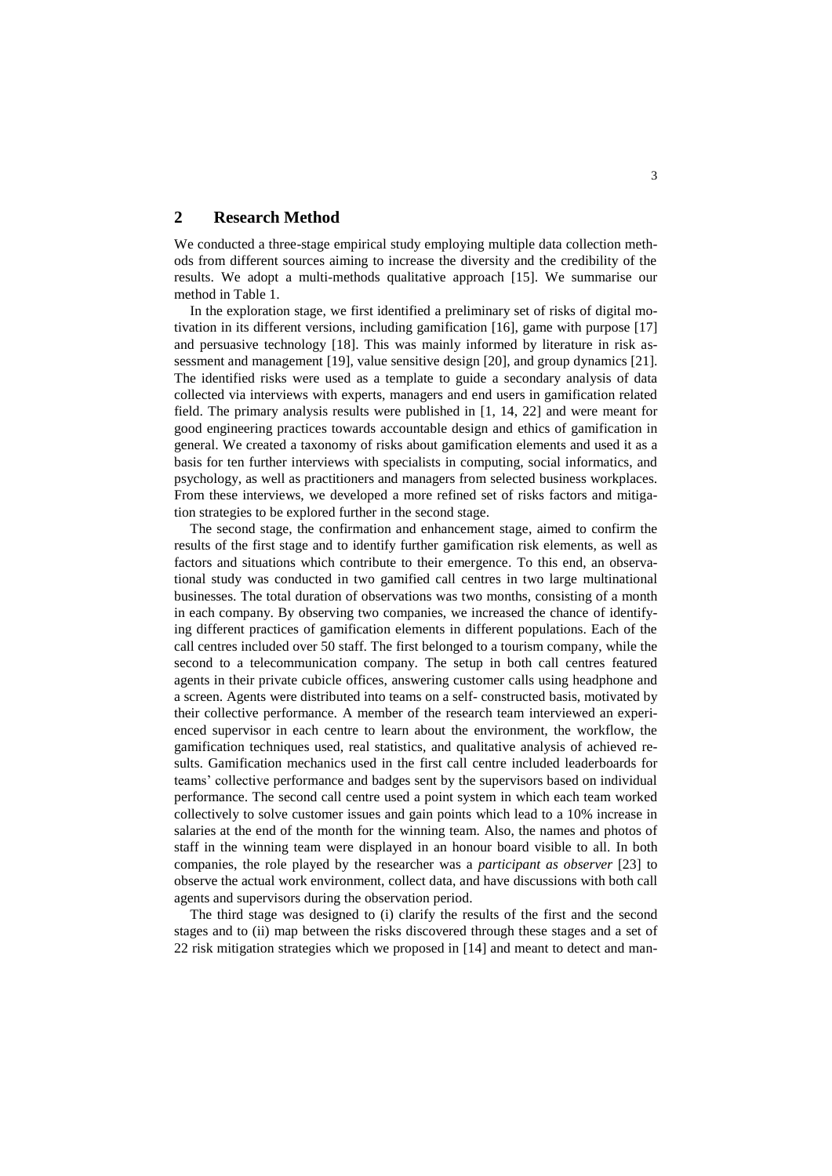## **2 Research Method**

We conducted a three-stage empirical study employing multiple data collection methods from different sources aiming to increase the diversity and the credibility of the results. We adopt a multi-methods qualitative approach [15]. We summarise our method in Table 1.

In the exploration stage, we first identified a preliminary set of risks of digital motivation in its different versions, including gamification [16], game with purpose [17] and persuasive technology [18]. This was mainly informed by literature in risk assessment and management [19], value sensitive design [20], and group dynamics [21]. The identified risks were used as a template to guide a secondary analysis of data collected via interviews with experts, managers and end users in gamification related field. The primary analysis results were published in [1, 14, 22] and were meant for good engineering practices towards accountable design and ethics of gamification in general. We created a taxonomy of risks about gamification elements and used it as a basis for ten further interviews with specialists in computing, social informatics, and psychology, as well as practitioners and managers from selected business workplaces. From these interviews, we developed a more refined set of risks factors and mitigation strategies to be explored further in the second stage.

The second stage, the confirmation and enhancement stage, aimed to confirm the results of the first stage and to identify further gamification risk elements, as well as factors and situations which contribute to their emergence. To this end, an observational study was conducted in two gamified call centres in two large multinational businesses. The total duration of observations was two months, consisting of a month in each company. By observing two companies, we increased the chance of identifying different practices of gamification elements in different populations. Each of the call centres included over 50 staff. The first belonged to a tourism company, while the second to a telecommunication company. The setup in both call centres featured agents in their private cubicle offices, answering customer calls using headphone and a screen. Agents were distributed into teams on a self- constructed basis, motivated by their collective performance. A member of the research team interviewed an experienced supervisor in each centre to learn about the environment, the workflow, the gamification techniques used, real statistics, and qualitative analysis of achieved results. Gamification mechanics used in the first call centre included leaderboards for teams' collective performance and badges sent by the supervisors based on individual performance. The second call centre used a point system in which each team worked collectively to solve customer issues and gain points which lead to a 10% increase in salaries at the end of the month for the winning team. Also, the names and photos of staff in the winning team were displayed in an honour board visible to all. In both companies, the role played by the researcher was a *participant as observer* [23] to observe the actual work environment, collect data, and have discussions with both call agents and supervisors during the observation period.

The third stage was designed to (i) clarify the results of the first and the second stages and to (ii) map between the risks discovered through these stages and a set of 22 risk mitigation strategies which we proposed in [14] and meant to detect and man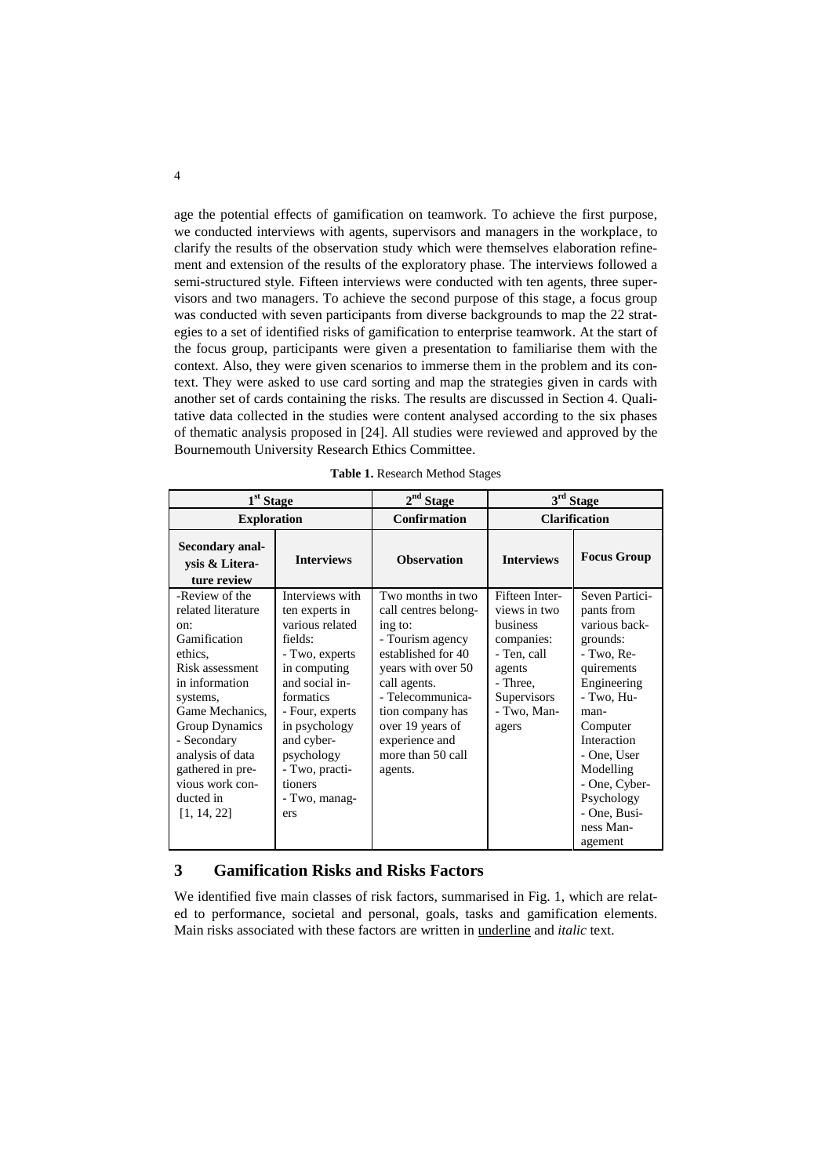age the potential effects of gamification on teamwork. To achieve the first purpose, we conducted interviews with agents, supervisors and managers in the workplace, to clarify the results of the observation study which were themselves elaboration refinement and extension of the results of the exploratory phase. The interviews followed a semi-structured style. Fifteen interviews were conducted with ten agents, three supervisors and two managers. To achieve the second purpose of this stage, a focus group was conducted with seven participants from diverse backgrounds to map the 22 strategies to a set of identified risks of gamification to enterprise teamwork. At the start of the focus group, participants were given a presentation to familiarise them with the context. Also, they were given scenarios to immerse them in the problem and its context. They were asked to use card sorting and map the strategies given in cards with another set of cards containing the risks. The results are discussed in Section 4. Qualitative data collected in the studies were content analysed according to the six phases of thematic analysis proposed in [24]. All studies were reviewed and approved by the Bournemouth University Research Ethics Committee.

| $1st$ Stage                                             |                   | 2 <sup>nd</sup> Stage | 3rd Stage            |                    |
|---------------------------------------------------------|-------------------|-----------------------|----------------------|--------------------|
| <b>Exploration</b>                                      |                   | Confirmation          | <b>Clarification</b> |                    |
| <b>Secondary anal-</b><br>ysis & Litera-<br>ture review | <b>Interviews</b> | <b>Observation</b>    | <b>Interviews</b>    | <b>Focus Group</b> |
| -Review of the                                          | Interviews with   | Two months in two     | Fifteen Inter-       | Seven Partici-     |
| related literature                                      | ten experts in    | call centres belong-  | views in two         | pants from         |
| on:                                                     | various related   | ing to:               | business             | various back-      |
| Gamification                                            | fields:           | - Tourism agency      | companies:           | grounds:           |
| ethics.                                                 | - Two, experts    | established for 40    | - Ten, call          | - Two, Re-         |
| Risk assessment                                         | in computing      | years with over 50    | agents               | quirements         |
| in information                                          | and social in-    | call agents.          | - Three,             | Engineering        |
| systems,                                                | formatics         | - Telecommunica-      | Supervisors          | - Two, Hu-         |
| Game Mechanics.                                         | - Four, experts   | tion company has      | - Two, Man-          | man-               |
| Group Dynamics                                          | in psychology     | over 19 years of      | agers                | Computer           |
| - Secondary                                             | and cyber-        | experience and        |                      | Interaction        |
| analysis of data                                        | psychology        | more than 50 call     |                      | - One, User        |
| gathered in pre-                                        | - Two, practi-    | agents.               |                      | Modelling          |
| vious work con-                                         | tioners           |                       |                      | - One, Cyber-      |
| ducted in                                               | - Two, manag-     |                       |                      | Psychology         |
| [1, 14, 22]                                             | ers               |                       |                      | - One, Busi-       |
|                                                         |                   |                       |                      | ness Man-          |
|                                                         |                   |                       |                      | agement            |

**Table 1.** Research Method Stages

# **3 Gamification Risks and Risks Factors**

We identified five main classes of risk factors, summarised in Fig. 1, which are related to performance, societal and personal, goals, tasks and gamification elements. Main risks associated with these factors are written in underline and *italic* text.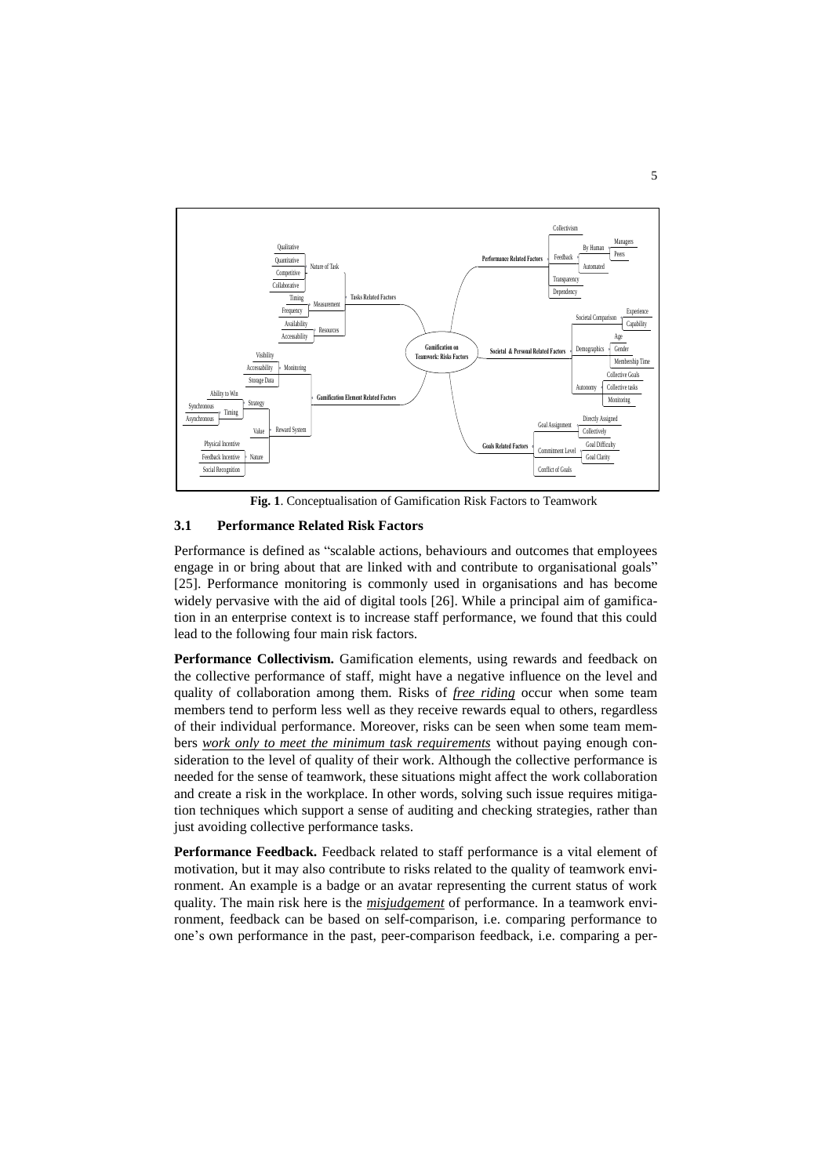

**Fig. 1**. Conceptualisation of Gamification Risk Factors to Teamwork

## **3.1 Performance Related Risk Factors**

Performance is defined as "scalable actions, behaviours and outcomes that employees engage in or bring about that are linked with and contribute to organisational goals" [25]. Performance monitoring is commonly used in organisations and has become widely pervasive with the aid of digital tools [26]. While a principal aim of gamification in an enterprise context is to increase staff performance, we found that this could lead to the following four main risk factors.

Performance Collectivism. Gamification elements, using rewards and feedback on the collective performance of staff, might have a negative influence on the level and quality of collaboration among them. Risks of *free riding* occur when some team members tend to perform less well as they receive rewards equal to others, regardless of their individual performance. Moreover, risks can be seen when some team members *work only to meet the minimum task requirements* without paying enough consideration to the level of quality of their work. Although the collective performance is needed for the sense of teamwork, these situations might affect the work collaboration and create a risk in the workplace. In other words, solving such issue requires mitigation techniques which support a sense of auditing and checking strategies, rather than just avoiding collective performance tasks.

**Performance Feedback.** Feedback related to staff performance is a vital element of motivation, but it may also contribute to risks related to the quality of teamwork environment. An example is a badge or an avatar representing the current status of work quality. The main risk here is the *misjudgement* of performance. In a teamwork environment, feedback can be based on self-comparison, i.e. comparing performance to one's own performance in the past, peer-comparison feedback, i.e. comparing a per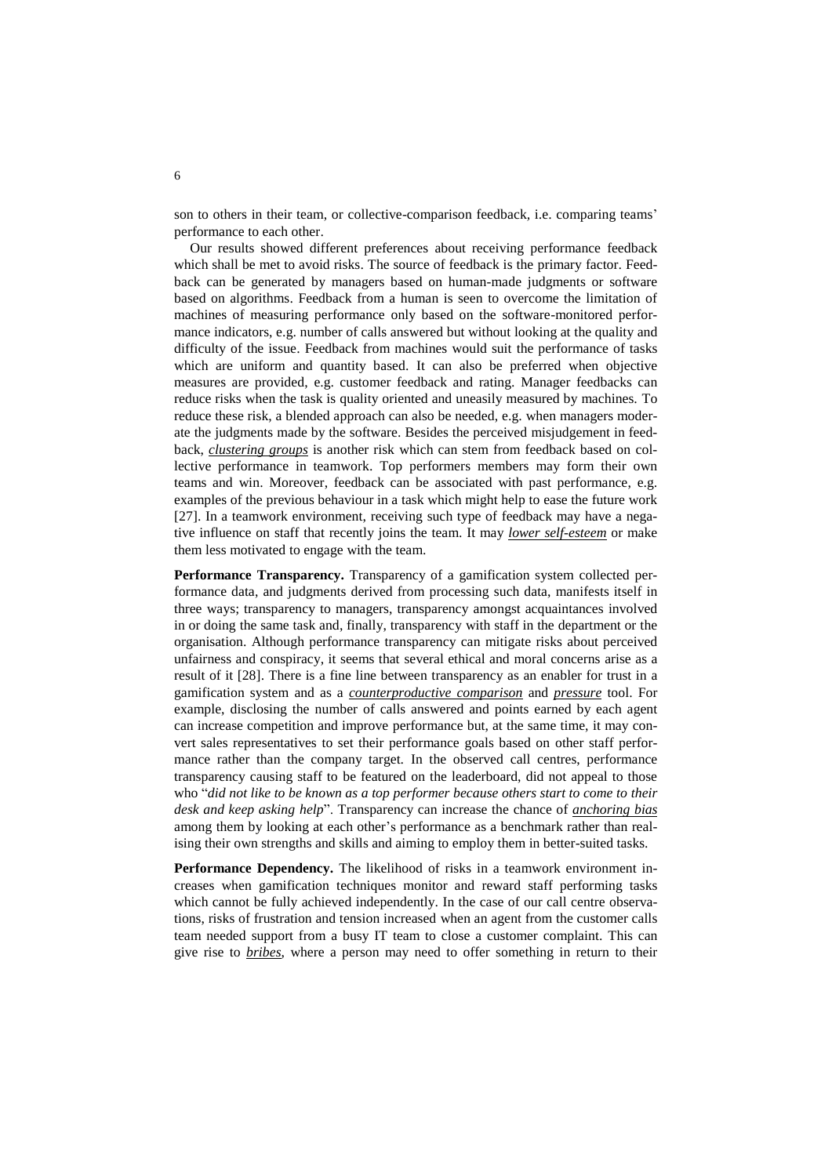son to others in their team, or collective-comparison feedback*,* i.e. comparing teams' performance to each other.

Our results showed different preferences about receiving performance feedback which shall be met to avoid risks. The source of feedback is the primary factor. Feedback can be generated by managers based on human-made judgments or software based on algorithms. Feedback from a human is seen to overcome the limitation of machines of measuring performance only based on the software-monitored performance indicators, e.g. number of calls answered but without looking at the quality and difficulty of the issue. Feedback from machines would suit the performance of tasks which are uniform and quantity based. It can also be preferred when objective measures are provided, e.g. customer feedback and rating. Manager feedbacks can reduce risks when the task is quality oriented and uneasily measured by machines. To reduce these risk, a blended approach can also be needed, e.g. when managers moderate the judgments made by the software. Besides the perceived misjudgement in feedback, *clustering groups* is another risk which can stem from feedback based on collective performance in teamwork. Top performers members may form their own teams and win. Moreover, feedback can be associated with past performance, e.g. examples of the previous behaviour in a task which might help to ease the future work [27]. In a teamwork environment, receiving such type of feedback may have a negative influence on staff that recently joins the team. It may *lower self-esteem* or make them less motivated to engage with the team.

**Performance Transparency.** Transparency of a gamification system collected performance data, and judgments derived from processing such data, manifests itself in three ways; transparency to managers, transparency amongst acquaintances involved in or doing the same task and, finally, transparency with staff in the department or the organisation. Although performance transparency can mitigate risks about perceived unfairness and conspiracy, it seems that several ethical and moral concerns arise as a result of it [28]. There is a fine line between transparency as an enabler for trust in a gamification system and as a *counterproductive comparison* and *pressure* tool. For example, disclosing the number of calls answered and points earned by each agent can increase competition and improve performance but, at the same time, it may convert sales representatives to set their performance goals based on other staff performance rather than the company target. In the observed call centres, performance transparency causing staff to be featured on the leaderboard, did not appeal to those who "*did not like to be known as a top performer because others start to come to their desk and keep asking help*". Transparency can increase the chance of *anchoring bias* among them by looking at each other's performance as a benchmark rather than realising their own strengths and skills and aiming to employ them in better-suited tasks.

**Performance Dependency.** The likelihood of risks in a teamwork environment increases when gamification techniques monitor and reward staff performing tasks which cannot be fully achieved independently. In the case of our call centre observations, risks of frustration and tension increased when an agent from the customer calls team needed support from a busy IT team to close a customer complaint. This can give rise to *bribes*, where a person may need to offer something in return to their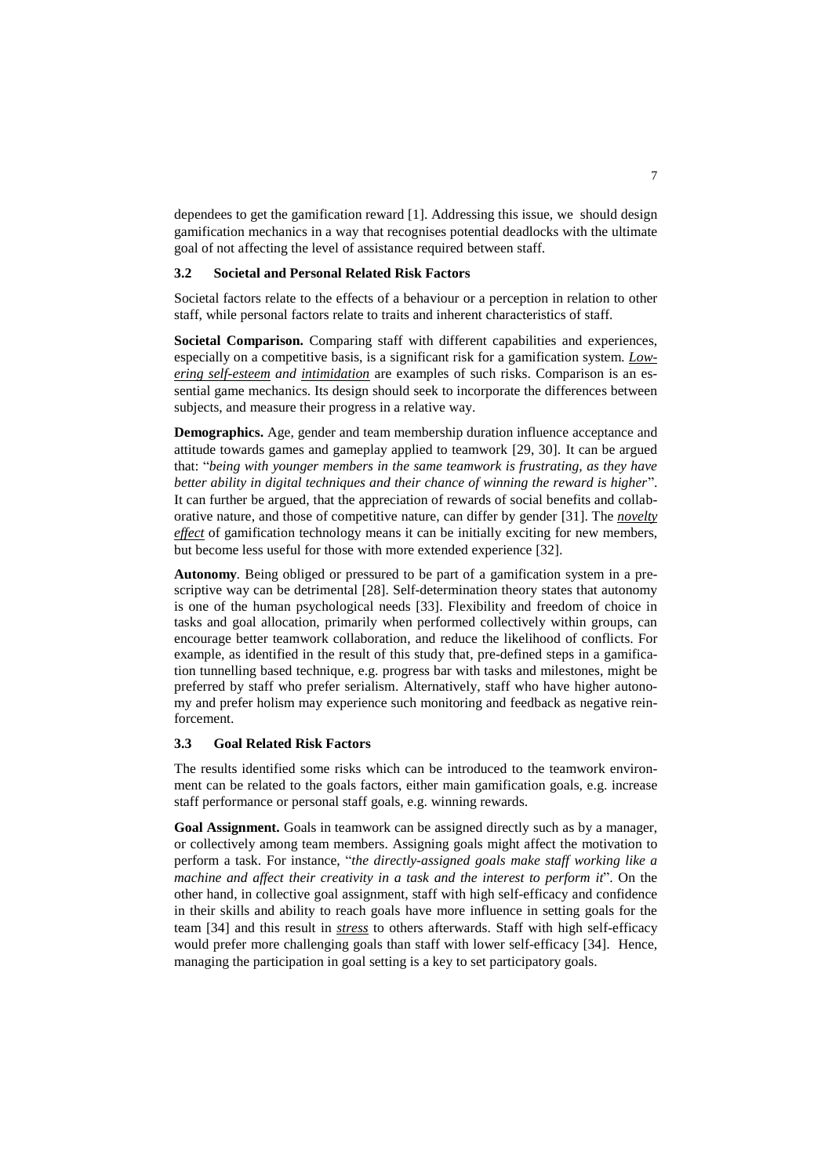dependees to get the gamification reward [1]. Addressing this issue, we should design gamification mechanics in a way that recognises potential deadlocks with the ultimate goal of not affecting the level of assistance required between staff.

## **3.2 Societal and Personal Related Risk Factors**

Societal factors relate to the effects of a behaviour or a perception in relation to other staff, while personal factors relate to traits and inherent characteristics of staff.

**Societal Comparison.** Comparing staff with different capabilities and experiences, especially on a competitive basis, is a significant risk for a gamification system*. Lowering self-esteem and intimidation* are examples of such risks. Comparison is an essential game mechanics. Its design should seek to incorporate the differences between subjects, and measure their progress in a relative way.

**Demographics.** Age, gender and team membership duration influence acceptance and attitude towards games and gameplay applied to teamwork [29, 30]. It can be argued that: "*being with younger members in the same teamwork is frustrating, as they have better ability in digital techniques and their chance of winning the reward is higher*". It can further be argued, that the appreciation of rewards of social benefits and collaborative nature, and those of competitive nature, can differ by gender [31]. The *novelty effect* of gamification technology means it can be initially exciting for new members, but become less useful for those with more extended experience [32].

**Autonomy***.* Being obliged or pressured to be part of a gamification system in a prescriptive way can be detrimental [28]. Self-determination theory states that autonomy is one of the human psychological needs [33]. Flexibility and freedom of choice in tasks and goal allocation, primarily when performed collectively within groups, can encourage better teamwork collaboration, and reduce the likelihood of conflicts. For example, as identified in the result of this study that, pre-defined steps in a gamification tunnelling based technique, e.g. progress bar with tasks and milestones, might be preferred by staff who prefer serialism. Alternatively, staff who have higher autonomy and prefer holism may experience such monitoring and feedback as negative reinforcement.

#### **3.3 Goal Related Risk Factors**

The results identified some risks which can be introduced to the teamwork environment can be related to the goals factors, either main gamification goals, e.g. increase staff performance or personal staff goals, e.g. winning rewards.

**Goal Assignment.** Goals in teamwork can be assigned directly such as by a manager, or collectively among team members. Assigning goals might affect the motivation to perform a task. For instance, "*the directly-assigned goals make staff working like a machine and affect their creativity in a task and the interest to perform it*". On the other hand, in collective goal assignment, staff with high self-efficacy and confidence in their skills and ability to reach goals have more influence in setting goals for the team [34] and this result in *stress* to others afterwards. Staff with high self-efficacy would prefer more challenging goals than staff with lower self-efficacy [34]. Hence, managing the participation in goal setting is a key to set participatory goals.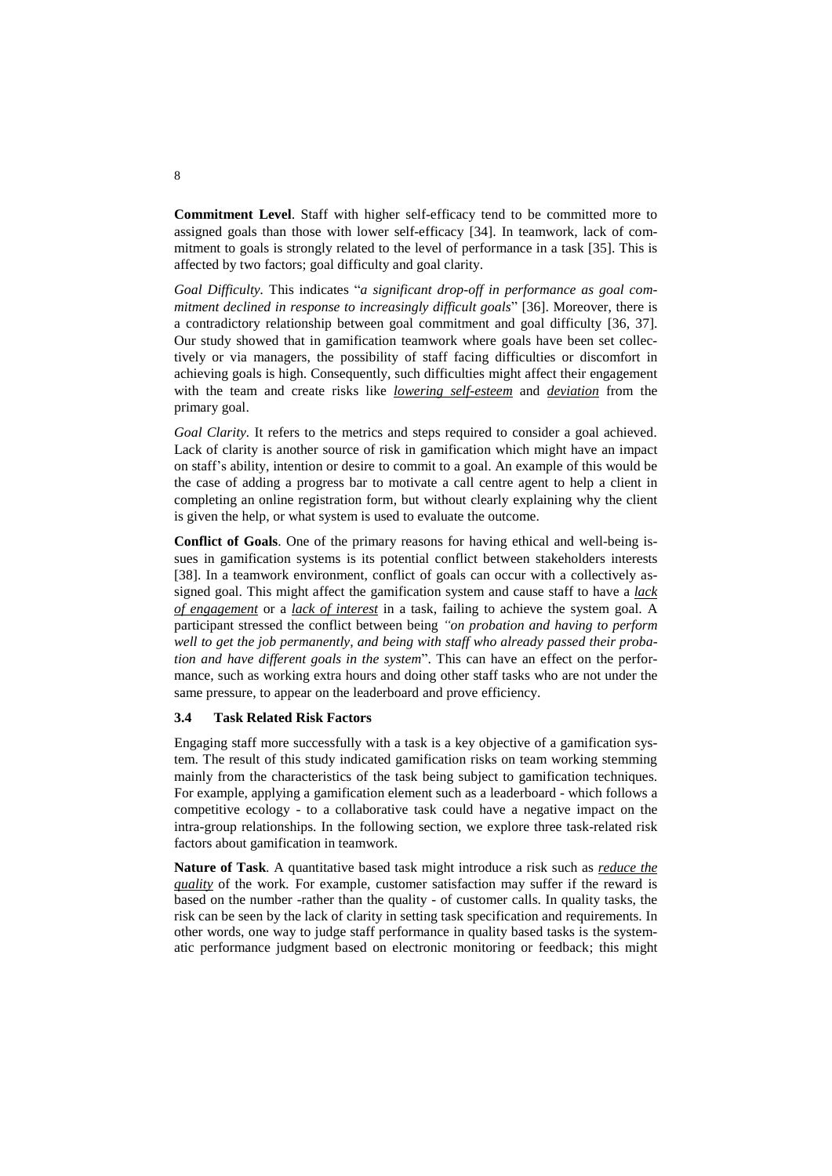**Commitment Level**. Staff with higher self-efficacy tend to be committed more to assigned goals than those with lower self-efficacy [34]. In teamwork, lack of commitment to goals is strongly related to the level of performance in a task [35]. This is affected by two factors; goal difficulty and goal clarity.

*Goal Difficulty.* This indicates "*a significant drop-off in performance as goal commitment declined in response to increasingly difficult goals*" [36]. Moreover, there is a contradictory relationship between goal commitment and goal difficulty [36, 37]. Our study showed that in gamification teamwork where goals have been set collectively or via managers, the possibility of staff facing difficulties or discomfort in achieving goals is high. Consequently, such difficulties might affect their engagement with the team and create risks like *lowering self-esteem* and *deviation* from the primary goal.

*Goal Clarity.* It refers to the metrics and steps required to consider a goal achieved*.*  Lack of clarity is another source of risk in gamification which might have an impact on staff's ability, intention or desire to commit to a goal. An example of this would be the case of adding a progress bar to motivate a call centre agent to help a client in completing an online registration form, but without clearly explaining why the client is given the help, or what system is used to evaluate the outcome.

**Conflict of Goals**. One of the primary reasons for having ethical and well-being issues in gamification systems is its potential conflict between stakeholders interests [38]. In a teamwork environment, conflict of goals can occur with a collectively assigned goal. This might affect the gamification system and cause staff to have a *lack of engagement* or a *lack of interest* in a task, failing to achieve the system goal. A participant stressed the conflict between being *"on probation and having to perform well to get the job permanently, and being with staff who already passed their probation and have different goals in the system*". This can have an effect on the performance, such as working extra hours and doing other staff tasks who are not under the same pressure, to appear on the leaderboard and prove efficiency.

#### **3.4 Task Related Risk Factors**

Engaging staff more successfully with a task is a key objective of a gamification system. The result of this study indicated gamification risks on team working stemming mainly from the characteristics of the task being subject to gamification techniques. For example, applying a gamification element such as a leaderboard - which follows a competitive ecology - to a collaborative task could have a negative impact on the intra-group relationships. In the following section, we explore three task-related risk factors about gamification in teamwork.

**Nature of Task**. A quantitative based task might introduce a risk such as *reduce the quality* of the work*.* For example, customer satisfaction may suffer if the reward is based on the number -rather than the quality - of customer calls. In quality tasks, the risk can be seen by the lack of clarity in setting task specification and requirements. In other words, one way to judge staff performance in quality based tasks is the systematic performance judgment based on electronic monitoring or feedback; this might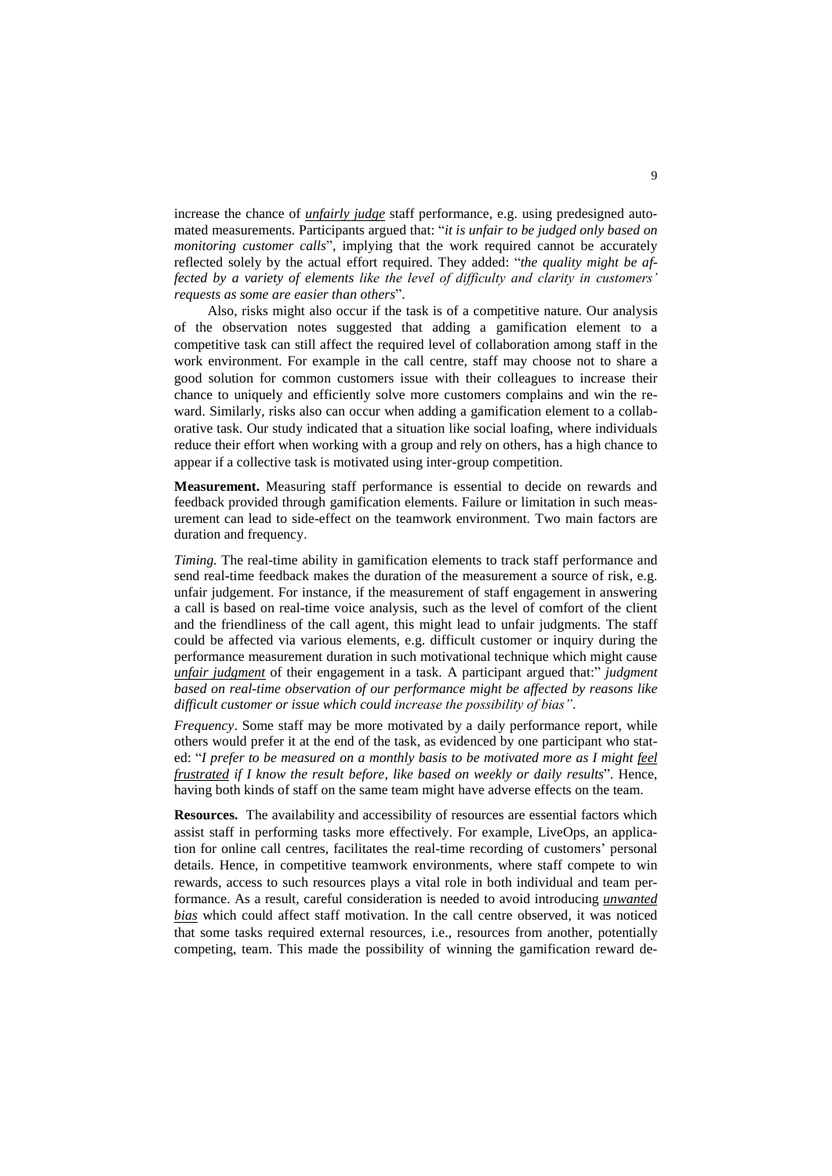increase the chance of *unfairly judge* staff performance, e.g. using predesigned automated measurements. Participants argued that: "*it is unfair to be judged only based on monitoring customer calls*", implying that the work required cannot be accurately reflected solely by the actual effort required. They added: "*the quality might be affected by a variety of elements like the level of difficulty and clarity in customers' requests as some are easier than others*".

 Also, risks might also occur if the task is of a competitive nature. Our analysis of the observation notes suggested that adding a gamification element to a competitive task can still affect the required level of collaboration among staff in the work environment. For example in the call centre, staff may choose not to share a good solution for common customers issue with their colleagues to increase their chance to uniquely and efficiently solve more customers complains and win the reward. Similarly, risks also can occur when adding a gamification element to a collaborative task. Our study indicated that a situation like social loafing, where individuals reduce their effort when working with a group and rely on others, has a high chance to appear if a collective task is motivated using inter-group competition.

**Measurement.** Measuring staff performance is essential to decide on rewards and feedback provided through gamification elements. Failure or limitation in such measurement can lead to side-effect on the teamwork environment. Two main factors are duration and frequency.

*Timing.* The real-time ability in gamification elements to track staff performance and send real-time feedback makes the duration of the measurement a source of risk, e.g. unfair judgement. For instance, if the measurement of staff engagement in answering a call is based on real-time voice analysis, such as the level of comfort of the client and the friendliness of the call agent, this might lead to unfair judgments. The staff could be affected via various elements, e.g. difficult customer or inquiry during the performance measurement duration in such motivational technique which might cause *unfair judgment* of their engagement in a task. A participant argued that:" *judgment based on real-time observation of our performance might be affected by reasons like difficult customer or issue which could increase the possibility of bias"*.

*Frequency*. Some staff may be more motivated by a daily performance report, while others would prefer it at the end of the task, as evidenced by one participant who stated: "*I prefer to be measured on a monthly basis to be motivated more as I might feel frustrated if I know the result before, like based on weekly or daily results*". Hence, having both kinds of staff on the same team might have adverse effects on the team.

**Resources.** The availability and accessibility of resources are essential factors which assist staff in performing tasks more effectively. For example, LiveOps, an application for online call centres, facilitates the real-time recording of customers' personal details. Hence, in competitive teamwork environments, where staff compete to win rewards, access to such resources plays a vital role in both individual and team performance. As a result, careful consideration is needed to avoid introducing *unwanted bias* which could affect staff motivation. In the call centre observed, it was noticed that some tasks required external resources, i.e., resources from another, potentially competing, team. This made the possibility of winning the gamification reward de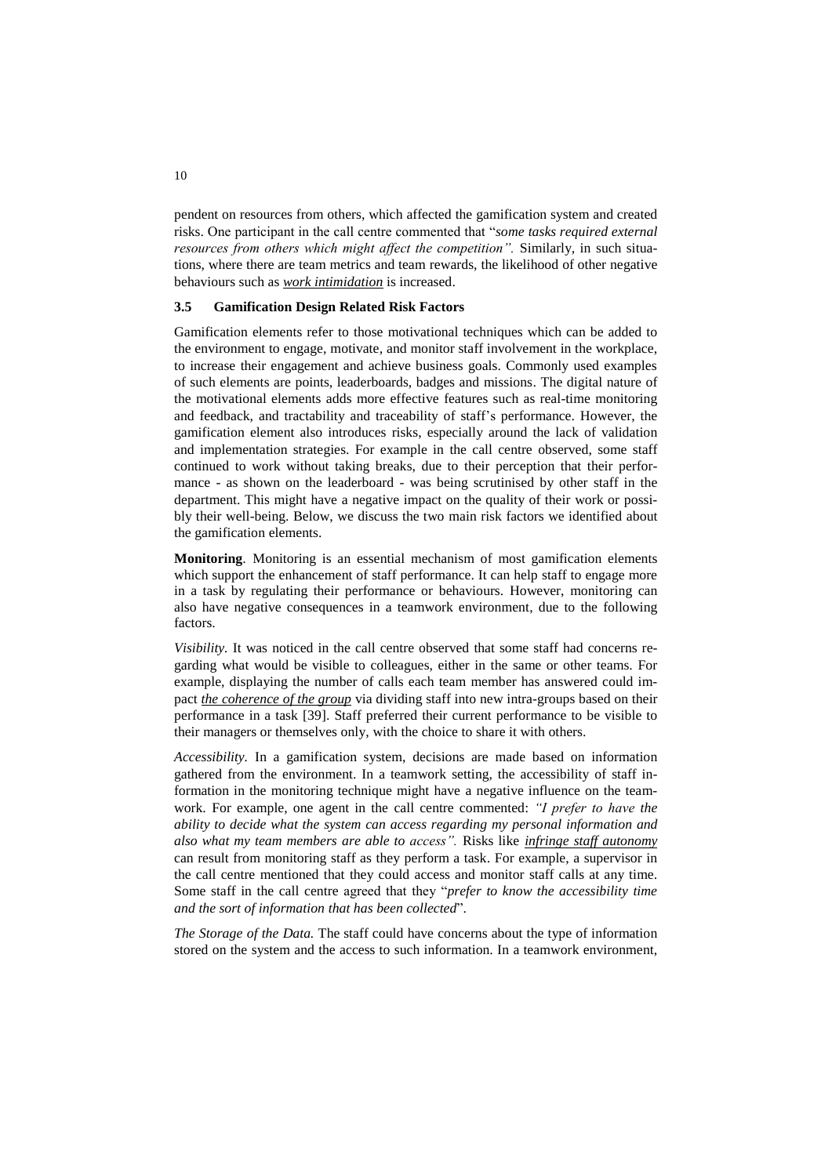pendent on resources from others, which affected the gamification system and created risks. One participant in the call centre commented that "*some tasks required external resources from others which might affect the competition". Similarly, in such situa*tions, where there are team metrics and team rewards, the likelihood of other negative behaviours such as *work intimidation* is increased.

#### **3.5 Gamification Design Related Risk Factors**

Gamification elements refer to those motivational techniques which can be added to the environment to engage, motivate, and monitor staff involvement in the workplace, to increase their engagement and achieve business goals. Commonly used examples of such elements are points, leaderboards, badges and missions. The digital nature of the motivational elements adds more effective features such as real-time monitoring and feedback, and tractability and traceability of staff's performance. However, the gamification element also introduces risks, especially around the lack of validation and implementation strategies. For example in the call centre observed, some staff continued to work without taking breaks, due to their perception that their performance - as shown on the leaderboard - was being scrutinised by other staff in the department. This might have a negative impact on the quality of their work or possibly their well-being. Below, we discuss the two main risk factors we identified about the gamification elements.

**Monitoring**. Monitoring is an essential mechanism of most gamification elements which support the enhancement of staff performance. It can help staff to engage more in a task by regulating their performance or behaviours. However, monitoring can also have negative consequences in a teamwork environment, due to the following factors.

*Visibility.* It was noticed in the call centre observed that some staff had concerns regarding what would be visible to colleagues, either in the same or other teams. For example, displaying the number of calls each team member has answered could impact *the coherence of the group* via dividing staff into new intra-groups based on their performance in a task [39]. Staff preferred their current performance to be visible to their managers or themselves only, with the choice to share it with others.

*Accessibility.* In a gamification system, decisions are made based on information gathered from the environment. In a teamwork setting, the accessibility of staff information in the monitoring technique might have a negative influence on the teamwork. For example, one agent in the call centre commented: *"I prefer to have the ability to decide what the system can access regarding my personal information and also what my team members are able to access".* Risks like *infringe staff autonomy* can result from monitoring staff as they perform a task. For example, a supervisor in the call centre mentioned that they could access and monitor staff calls at any time. Some staff in the call centre agreed that they "*prefer to know the accessibility time and the sort of information that has been collected*".

*The Storage of the Data.* The staff could have concerns about the type of information stored on the system and the access to such information. In a teamwork environment,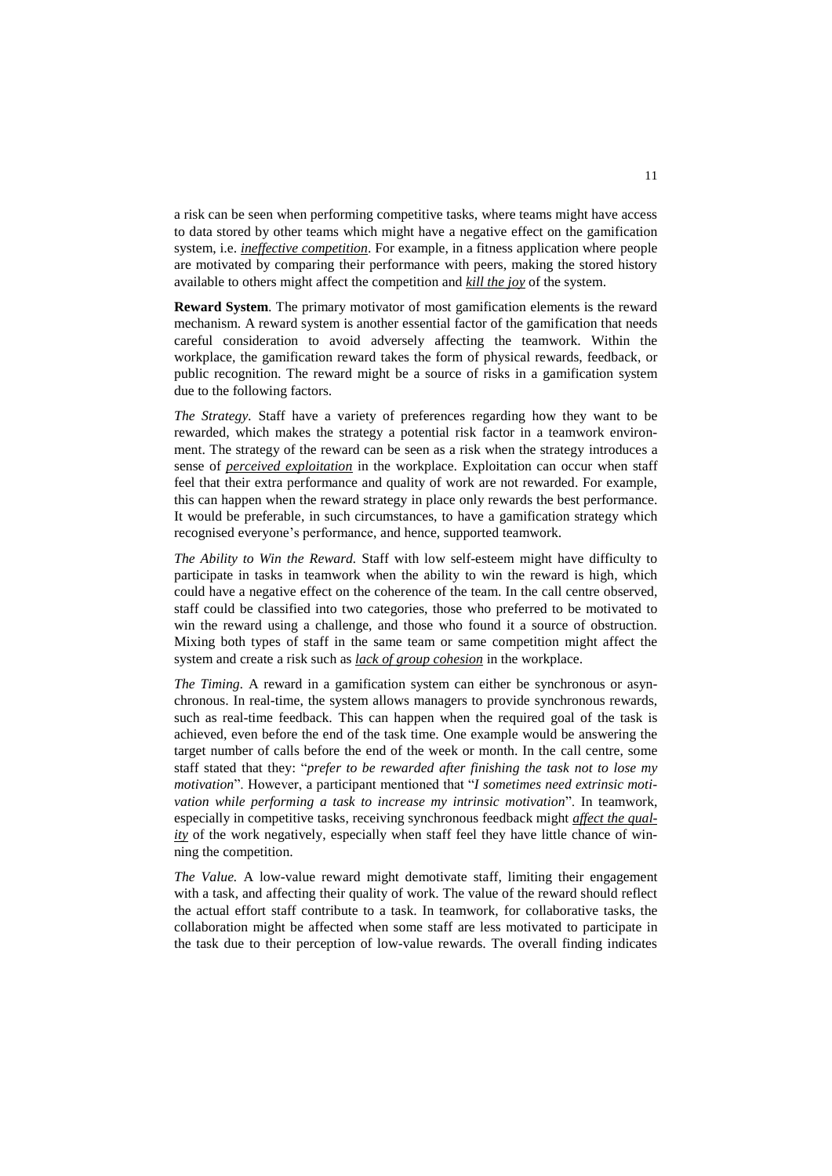a risk can be seen when performing competitive tasks, where teams might have access to data stored by other teams which might have a negative effect on the gamification system, i.e. *ineffective competition*. For example, in a fitness application where people are motivated by comparing their performance with peers, making the stored history available to others might affect the competition and *kill the joy* of the system.

**Reward System**. The primary motivator of most gamification elements is the reward mechanism. A reward system is another essential factor of the gamification that needs careful consideration to avoid adversely affecting the teamwork. Within the workplace, the gamification reward takes the form of physical rewards, feedback, or public recognition. The reward might be a source of risks in a gamification system due to the following factors.

*The Strategy.* Staff have a variety of preferences regarding how they want to be rewarded, which makes the strategy a potential risk factor in a teamwork environment. The strategy of the reward can be seen as a risk when the strategy introduces a sense of *perceived exploitation* in the workplace. Exploitation can occur when staff feel that their extra performance and quality of work are not rewarded. For example, this can happen when the reward strategy in place only rewards the best performance. It would be preferable, in such circumstances, to have a gamification strategy which recognised everyone's performance, and hence, supported teamwork.

*The Ability to Win the Reward.* Staff with low self-esteem might have difficulty to participate in tasks in teamwork when the ability to win the reward is high, which could have a negative effect on the coherence of the team. In the call centre observed, staff could be classified into two categories, those who preferred to be motivated to win the reward using a challenge, and those who found it a source of obstruction. Mixing both types of staff in the same team or same competition might affect the system and create a risk such as *lack of group cohesion* in the workplace.

*The Timing.* A reward in a gamification system can either be synchronous or asynchronous. In real-time, the system allows managers to provide synchronous rewards, such as real-time feedback. This can happen when the required goal of the task is achieved, even before the end of the task time. One example would be answering the target number of calls before the end of the week or month. In the call centre, some staff stated that they: "*prefer to be rewarded after finishing the task not to lose my motivation*". However, a participant mentioned that "*I sometimes need extrinsic motivation while performing a task to increase my intrinsic motivation*". In teamwork, especially in competitive tasks, receiving synchronous feedback might *affect the quality* of the work negatively, especially when staff feel they have little chance of winning the competition.

*The Value.* A low-value reward might demotivate staff, limiting their engagement with a task, and affecting their quality of work. The value of the reward should reflect the actual effort staff contribute to a task. In teamwork, for collaborative tasks, the collaboration might be affected when some staff are less motivated to participate in the task due to their perception of low-value rewards. The overall finding indicates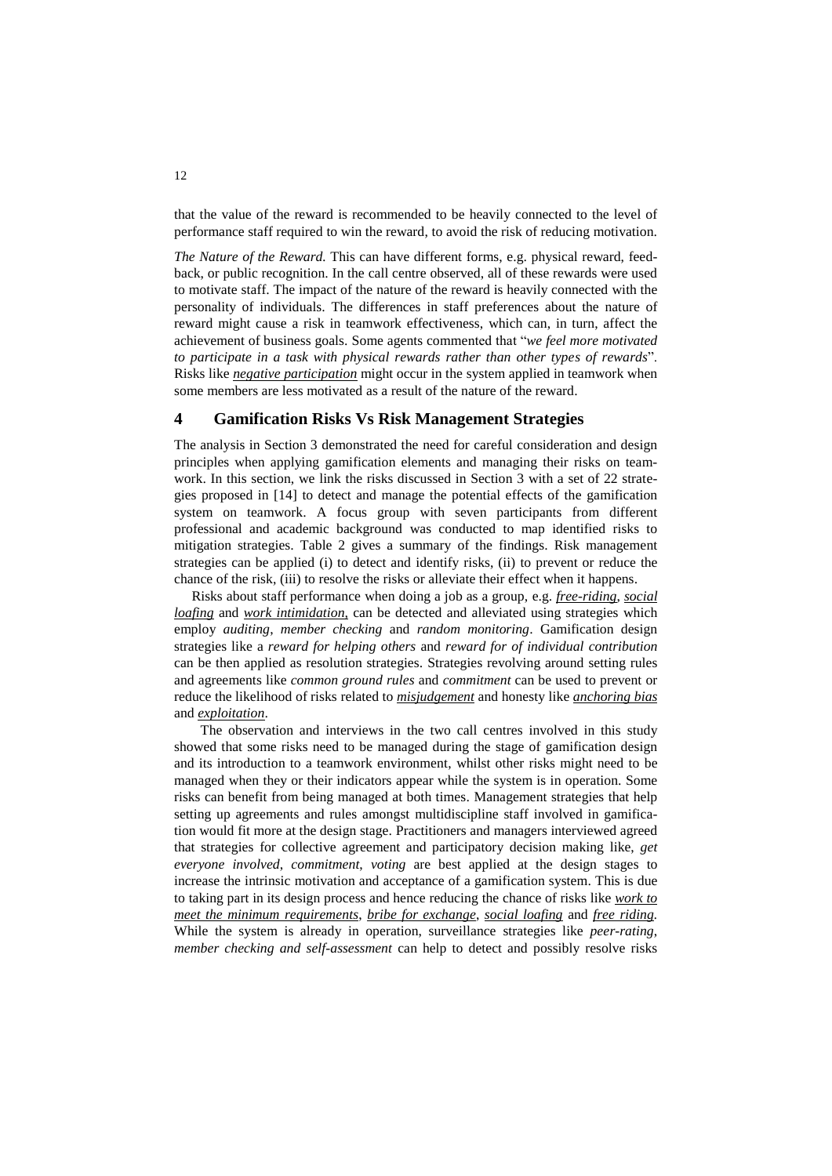that the value of the reward is recommended to be heavily connected to the level of performance staff required to win the reward, to avoid the risk of reducing motivation.

*The Nature of the Reward.* This can have different forms, e.g. physical reward, feedback, or public recognition. In the call centre observed, all of these rewards were used to motivate staff. The impact of the nature of the reward is heavily connected with the personality of individuals. The differences in staff preferences about the nature of reward might cause a risk in teamwork effectiveness, which can, in turn, affect the achievement of business goals. Some agents commented that "*we feel more motivated to participate in a task with physical rewards rather than other types of rewards*". Risks like *negative participation* might occur in the system applied in teamwork when some members are less motivated as a result of the nature of the reward.

# **4 Gamification Risks Vs Risk Management Strategies**

The analysis in Section 3 demonstrated the need for careful consideration and design principles when applying gamification elements and managing their risks on teamwork. In this section, we link the risks discussed in Section 3 with a set of 22 strategies proposed in [14] to detect and manage the potential effects of the gamification system on teamwork. A focus group with seven participants from different professional and academic background was conducted to map identified risks to mitigation strategies. Table 2 gives a summary of the findings. Risk management strategies can be applied (i) to detect and identify risks, (ii) to prevent or reduce the chance of the risk, (iii) to resolve the risks or alleviate their effect when it happens.

 Risks about staff performance when doing a job as a group, e.g. *free-riding*, *social loafing* and *work intimidation,* can be detected and alleviated using strategies which employ *auditing*, *member checking* and *random monitoring*. Gamification design strategies like a *reward for helping others* and *reward for of individual contribution* can be then applied as resolution strategies. Strategies revolving around setting rules and agreements like *common ground rules* and *commitment* can be used to prevent or reduce the likelihood of risks related to *misjudgement* and honesty like *anchoring bias* and *exploitation*.

 The observation and interviews in the two call centres involved in this study showed that some risks need to be managed during the stage of gamification design and its introduction to a teamwork environment, whilst other risks might need to be managed when they or their indicators appear while the system is in operation. Some risks can benefit from being managed at both times. Management strategies that help setting up agreements and rules amongst multidiscipline staff involved in gamification would fit more at the design stage. Practitioners and managers interviewed agreed that strategies for collective agreement and participatory decision making like, *get everyone involved*, *commitment*, *voting* are best applied at the design stages to increase the intrinsic motivation and acceptance of a gamification system. This is due to taking part in its design process and hence reducing the chance of risks like *work to meet the minimum requirements*, *bribe for exchange*, *social loafing* and *free riding.* While the system is already in operation, surveillance strategies like *peer-rating*, *member checking and self-assessment* can help to detect and possibly resolve risks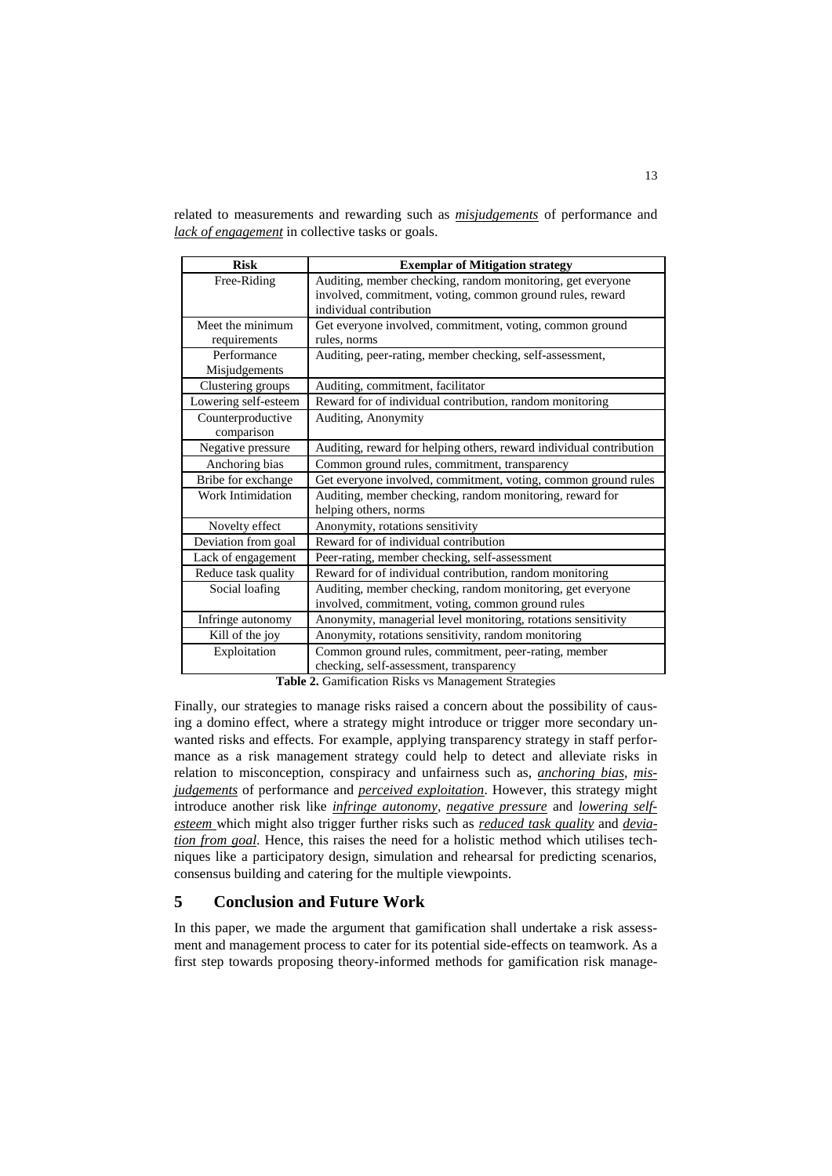related to measurements and rewarding such as *misjudgements* of performance and *lack of engagement* in collective tasks or goals.

| <b>Risk</b>                      | <b>Exemplar of Mitigation strategy</b>                                                                                                             |  |  |
|----------------------------------|----------------------------------------------------------------------------------------------------------------------------------------------------|--|--|
| Free-Riding                      | Auditing, member checking, random monitoring, get everyone<br>involved, commitment, voting, common ground rules, reward<br>individual contribution |  |  |
| Meet the minimum<br>requirements | Get everyone involved, commitment, voting, common ground<br>rules, norms                                                                           |  |  |
| Performance<br>Misjudgements     | Auditing, peer-rating, member checking, self-assessment,                                                                                           |  |  |
| Clustering groups                | Auditing, commitment, facilitator                                                                                                                  |  |  |
| Lowering self-esteem             | Reward for of individual contribution, random monitoring                                                                                           |  |  |
| Counterproductive<br>comparison  | Auditing, Anonymity                                                                                                                                |  |  |
| Negative pressure                | Auditing, reward for helping others, reward individual contribution                                                                                |  |  |
| Anchoring bias                   | Common ground rules, commitment, transparency                                                                                                      |  |  |
| Bribe for exchange               | Get everyone involved, commitment, voting, common ground rules                                                                                     |  |  |
| <b>Work Intimidation</b>         | Auditing, member checking, random monitoring, reward for<br>helping others, norms                                                                  |  |  |
| Novelty effect                   | Anonymity, rotations sensitivity                                                                                                                   |  |  |
| Deviation from goal              | Reward for of individual contribution                                                                                                              |  |  |
| Lack of engagement               | Peer-rating, member checking, self-assessment                                                                                                      |  |  |
| Reduce task quality              | Reward for of individual contribution, random monitoring                                                                                           |  |  |
| Social loafing                   | Auditing, member checking, random monitoring, get everyone<br>involved, commitment, voting, common ground rules                                    |  |  |
| Infringe autonomy                | Anonymity, managerial level monitoring, rotations sensitivity                                                                                      |  |  |
| Kill of the joy                  | Anonymity, rotations sensitivity, random monitoring                                                                                                |  |  |
| Exploitation                     | Common ground rules, commitment, peer-rating, member<br>checking, self-assessment, transparency                                                    |  |  |

**Table 2.** Gamification Risks vs Management Strategies

Finally, our strategies to manage risks raised a concern about the possibility of causing a domino effect, where a strategy might introduce or trigger more secondary unwanted risks and effects. For example, applying transparency strategy in staff performance as a risk management strategy could help to detect and alleviate risks in relation to misconception, conspiracy and unfairness such as, *anchoring bias*, *misjudgements* of performance and *perceived exploitation*. However, this strategy might introduce another risk like *infringe autonomy*, *negative pressure* and *lowering selfesteem* which might also trigger further risks such as *reduced task quality* and *deviation from goal*. Hence, this raises the need for a holistic method which utilises techniques like a participatory design, simulation and rehearsal for predicting scenarios, consensus building and catering for the multiple viewpoints.

# **5 Conclusion and Future Work**

In this paper, we made the argument that gamification shall undertake a risk assessment and management process to cater for its potential side-effects on teamwork. As a first step towards proposing theory-informed methods for gamification risk manage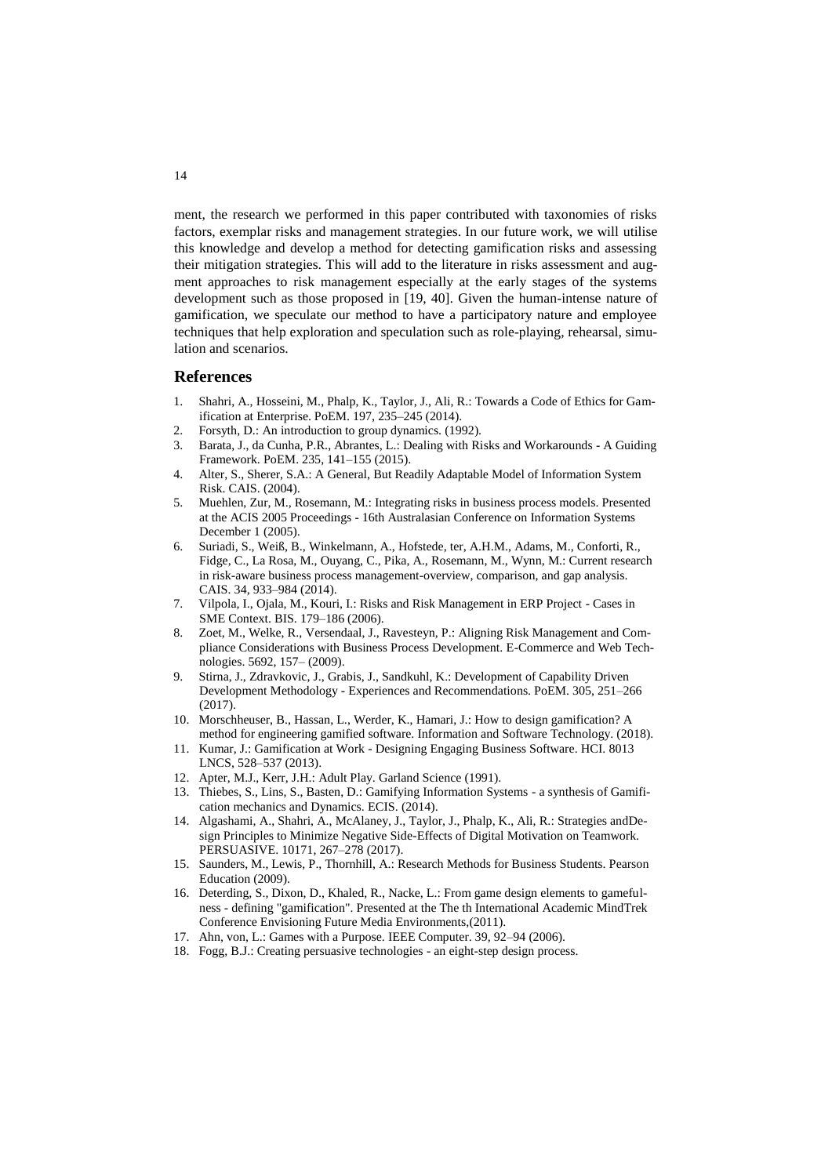ment, the research we performed in this paper contributed with taxonomies of risks factors, exemplar risks and management strategies. In our future work, we will utilise this knowledge and develop a method for detecting gamification risks and assessing their mitigation strategies. This will add to the literature in risks assessment and augment approaches to risk management especially at the early stages of the systems development such as those proposed in [19, 40]. Given the human-intense nature of gamification, we speculate our method to have a participatory nature and employee techniques that help exploration and speculation such as role-playing, rehearsal, simulation and scenarios.

## **References**

- 1. Shahri, A., Hosseini, M., Phalp, K., Taylor, J., Ali, R.: Towards a Code of Ethics for Gamification at Enterprise. PoEM. 197, 235–245 (2014).
- 
- 2. Forsyth, D.: An introduction to group dynamics. (1992).<br>3. Barata, J., da Cunha, P.R., Abrantes, L.: Dealing with Ri 3. Barata, J., da Cunha, P.R., Abrantes, L.: Dealing with Risks and Workarounds - A Guiding Framework. PoEM. 235, 141–155 (2015).
- 4. Alter, S., Sherer, S.A.: A General, But Readily Adaptable Model of Information System Risk. CAIS. (2004).
- 5. Muehlen, Zur, M., Rosemann, M.: Integrating risks in business process models. Presented at the ACIS 2005 Proceedings - 16th Australasian Conference on Information Systems December 1 (2005).
- 6. Suriadi, S., Weiß, B., Winkelmann, A., Hofstede, ter, A.H.M., Adams, M., Conforti, R., Fidge, C., La Rosa, M., Ouyang, C., Pika, A., Rosemann, M., Wynn, M.: Current research in risk-aware business process management-overview, comparison, and gap analysis. CAIS. 34, 933–984 (2014).
- 7. Vilpola, I., Ojala, M., Kouri, I.: Risks and Risk Management in ERP Project Cases in SME Context. BIS. 179–186 (2006).
- 8. Zoet, M., Welke, R., Versendaal, J., Ravesteyn, P.: Aligning Risk Management and Compliance Considerations with Business Process Development. E-Commerce and Web Technologies. 5692, 157– (2009).
- 9. Stirna, J., Zdravkovic, J., Grabis, J., Sandkuhl, K.: Development of Capability Driven Development Methodology - Experiences and Recommendations. PoEM. 305, 251–266  $(2017)$
- 10. Morschheuser, B., Hassan, L., Werder, K., Hamari, J.: How to design gamification? A method for engineering gamified software. Information and Software Technology. (2018).
- 11. Kumar, J.: Gamification at Work Designing Engaging Business Software. HCI. 8013 LNCS, 528–537 (2013).
- 12. Apter, M.J., Kerr, J.H.: Adult Play. Garland Science (1991).
- 13. Thiebes, S., Lins, S., Basten, D.: Gamifying Information Systems a synthesis of Gamification mechanics and Dynamics. ECIS. (2014).
- 14. Algashami, A., Shahri, A., McAlaney, J., Taylor, J., Phalp, K., Ali, R.: Strategies andDesign Principles to Minimize Negative Side-Effects of Digital Motivation on Teamwork. PERSUASIVE. 10171, 267–278 (2017).
- 15. Saunders, M., Lewis, P., Thornhill, A.: Research Methods for Business Students. Pearson Education (2009).
- 16. Deterding, S., Dixon, D., Khaled, R., Nacke, L.: From game design elements to gamefulness - defining "gamification". Presented at the The th International Academic MindTrek Conference Envisioning Future Media Environments,(2011).
- 17. Ahn, von, L.: Games with a Purpose. IEEE Computer. 39, 92–94 (2006).
- 18. Fogg, B.J.: Creating persuasive technologies an eight-step design process.